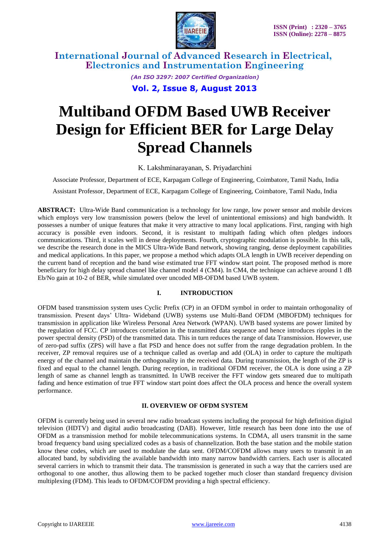

*(An ISO 3297: 2007 Certified Organization)*

**Vol. 2, Issue 8, August 2013**

# **Multiband OFDM Based UWB Receiver Design for Efficient BER for Large Delay Spread Channels**

K. Lakshminarayanan, S. Priyadarchini

Associate Professor, Department of ECE, Karpagam College of Engineering, Coimbatore, Tamil Nadu, India

Assistant Professor, Department of ECE, Karpagam College of Engineering, Coimbatore, Tamil Nadu, India

**ABSTRACT:** Ultra-Wide Band communication is a technology for low range, low power sensor and mobile devices which employs very low transmission powers (below the level of unintentional emissions) and high bandwidth. It possesses a number of unique features that make it very attractive to many local applications. First, ranging with high accuracy is possible even indoors. Second, it is resistant to multipath fading which often pledges indoors communications. Third, it scales well in dense deployments. Fourth, cryptographic modulation is possible. In this talk, we describe the research done in the MICS Ultra-Wide Band network, showing ranging, dense deployment capabilities and medical applications. In this paper, we propose a method which adapts OLA length in UWB receiver depending on the current band of reception and the band wise estimated true FFT window start point. The proposed method is more beneficiary for high delay spread channel like channel model 4 (CM4). In CM4, the technique can achieve around 1 dB Eb/No gain at 10-2 of BER, while simulated over uncoded MB-OFDM based UWB system.

#### **I. INTRODUCTION**

OFDM based transmission system uses Cyclic Prefix (CP) in an OFDM symbol in order to maintain orthogonality of transmission. Present days" Ultra- Wideband (UWB) systems use Multi-Band OFDM (MBOFDM) techniques for transmission in application like Wireless Personal Area Network (WPAN). UWB based systems are power limited by the regulation of FCC. CP introduces correlation in the transmitted data sequence and hence introduces ripples in the power spectral density (PSD) of the transmitted data. This in turn reduces the range of data Transmission. However, use of zero-pad suffix (ZPS) will have a flat PSD and hence does not suffer from the range degradation problem. In the receiver, ZP removal requires use of a technique called as overlap and add (OLA) in order to capture the multipath energy of the channel and maintain the orthogonality in the received data. During transmission, the length of the ZP is fixed and equal to the channel length. During reception, in traditional OFDM receiver, the OLA is done using a ZP length of same as channel length as transmitted. In UWB receiver the FFT window gets smeared due to multipath fading and hence estimation of true FFT window start point does affect the OLA process and hence the overall system performance.

#### **II. OVERVIEW OF OFDM SYSTEM**

OFDM is currently being used in several new radio broadcast systems including the proposal for high definition digital television (HDTV) and digital audio broadcasting (DAB). However, little research has been done into the use of OFDM as a transmission method for mobile telecommunications systems. In CDMA, all users transmit in the same broad frequency band using specialized codes as a basis of channelization. Both the base station and the mobile station know these codes, which are used to modulate the data sent. OFDM/COFDM allows many users to transmit in an allocated band, by subdividing the available bandwidth into many narrow bandwidth carriers. Each user is allocated several carriers in which to transmit their data. The transmission is generated in such a way that the carriers used are orthogonal to one another, thus allowing them to be packed together much closer than standard frequency division multiplexing (FDM). This leads to OFDM/COFDM providing a high spectral efficiency.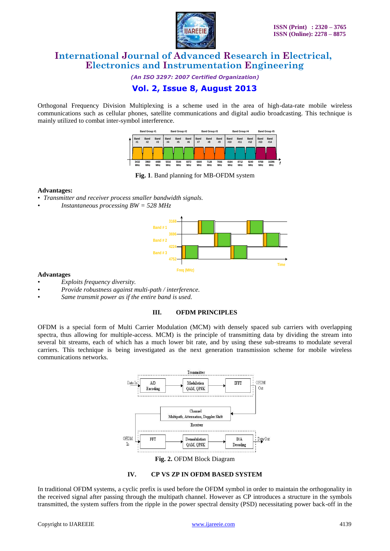

*(An ISO 3297: 2007 Certified Organization)*

# **Vol. 2, Issue 8, August 2013**

Orthogonal Frequency Division Multiplexing is a scheme used in the area of high-data-rate mobile wireless communications such as cellular phones, satellite communications and digital audio broadcasting. This technique is mainly utilized to combat inter-symbol interference.



**Fig. 1**. Band planning for MB-OFDM system

#### **Advantages:**

- *Transmitter and receiver process smaller bandwidth signals.*
- *Instantaneous processing BW = 528 MHz*



#### **Advantages**

- *Exploits frequency diversity.*
- *Provide robustness against multi-path / interference.*
- *Same transmit power as if the entire band is used.*

#### **III. OFDM PRINCIPLES**

OFDM is a special form of Multi Carrier Modulation (MCM) with densely spaced sub carriers with overlapping spectra, thus allowing for multiple-access. MCM) is the principle of transmitting data by dividing the stream into several bit streams, each of which has a much lower bit rate, and by using these sub-streams to modulate several carriers. This technique is being investigated as the next generation transmission scheme for mobile wireless communications networks.





In traditional OFDM systems, a cyclic prefix is used before the OFDM symbol in order to maintain the orthogonality in the received signal after passing through the multipath channel. However as CP introduces a structure in the symbols transmitted, the system suffers from the ripple in the power spectral density (PSD) necessitating power back-off in the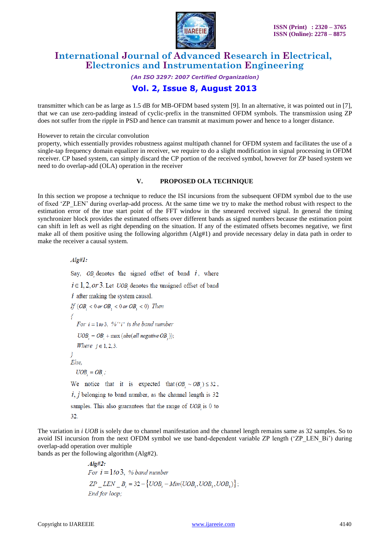

*(An ISO 3297: 2007 Certified Organization)*

# **Vol. 2, Issue 8, August 2013**

transmitter which can be as large as 1.5 dB for MB-OFDM based system [9]. In an alternative, it was pointed out in [7], that we can use zero-padding instead of cyclic-prefix in the transmitted OFDM symbols. The transmission using ZP does not suffer from the ripple in PSD and hence can transmit at maximum power and hence to a longer distance.

However to retain the circular convolution

property, which essentially provides robustness against multipath channel for OFDM system and facilitates the use of a single-tap frequency domain equalizer in receiver, we require to do a slight modification in signal processing in OFDM receiver. CP based system, can simply discard the CP portion of the received symbol, however for ZP based system we need to do overlap-add (OLA) operation in the receiver

#### **V. PROPOSED OLA TECHNIQUE**

In this section we propose a technique to reduce the ISI incursions from the subsequent OFDM symbol due to the use of fixed "ZP\_LEN" during overlap-add process. At the same time we try to make the method robust with respect to the estimation error of the true start point of the FFT window in the smeared received signal. In general the timing synchronizer block provides the estimated offsets over different bands as signed numbers because the estimation point can shift in left as well as right depending on the situation. If any of the estimated offsets becomes negative, we first make all of them positive using the following algorithm (Alg#1) and provide necessary delay in data path in order to make the receiver a causal system.

 $Alg#1$ :

Say,  $OB$  denotes the signed offset of band  $i$ , where  $i \in 1, 2, or 3$ . Let *UOB* denotes the unsigned offset of band  $i$  after making the system causal. If  $(OB, < 0$  or  $OB, < 0$  or  $OB, < 0$ ) Then For  $i = 1$  to 3, %"i' is the band number  $UOB_i = OB_i + \max (abs(all negative OB_i));$ Where  $i \in 1, 2, 3$ .  $\mathcal{E}$ Else,  $UOB$  =  $OB$ ; We notice that it is expected that  $(OB \sim OB) \le 32$ .  $i, j$  belonging to band number, as the channel length is 32 samples. This also guarantees that the range of *UOB* is 0 to 32.

The variation in *i UOB* is solely due to channel manifestation and the channel length remains same as 32 samples. So to avoid ISI incursion from the next OFDM symbol we use band-dependent variable ZP length ('ZP\_LEN\_Bi') during overlap-add operation over multiple

bands as per the following algorithm (Alg#2).

$$
Alg#2:
$$
  
For  $i = 1 to 3$ , % band number  

$$
ZP \_LEN \_B_i = 32 - \{UOB_i - Min(UOB_i, UOB_i, UOB_j)\};
$$
  
End for loop;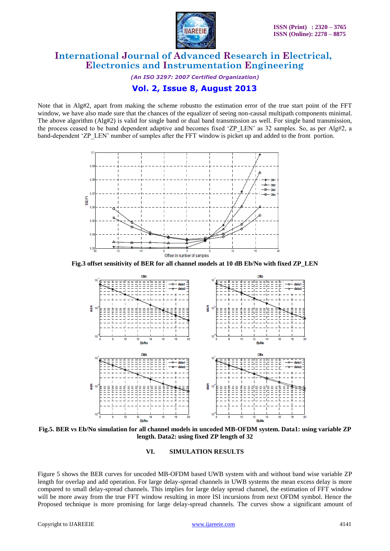

*(An ISO 3297: 2007 Certified Organization)*

## **Vol. 2, Issue 8, August 2013**

Note that in Alg#2, apart from making the scheme robustto the estimation error of the true start point of the FFT window, we have also made sure that the chances of the equalizer of seeing non-causal multipath components minimal. The above algorithm (Alg#2) is valid for single band or dual band transmission as well. For single band transmission, the process ceased to be band dependent adaptive and becomes fixed 'ZP\_LEN' as 32 samples. So, as per Alg#2, a band-dependent "ZP\_LEN" number of samples after the FFT window is picket up and added to the front portion.



**Fig.3 offset sensitivity of BER for all channel models at 10 dB Eb/No with fixed ZP\_LEN**



**Fig.5. BER vs Eb/No simulation for all channel models in uncoded MB-OFDM system. Data1: using variable ZP length. Data2: using fixed ZP length of 32**

#### **VI. SIMULATION RESULTS**

Figure 5 shows the BER curves for uncoded MB-OFDM based UWB system with and without band wise variable ZP length for overlap and add operation. For large delay-spread channels in UWB systems the mean excess delay is more compared to small delay-spread channels. This implies for large delay spread channel, the estimation of FFT window will be more away from the true FFT window resulting in more ISI incursions from next OFDM symbol. Hence the Proposed technique is more promising for large delay-spread channels. The curves show a significant amount of